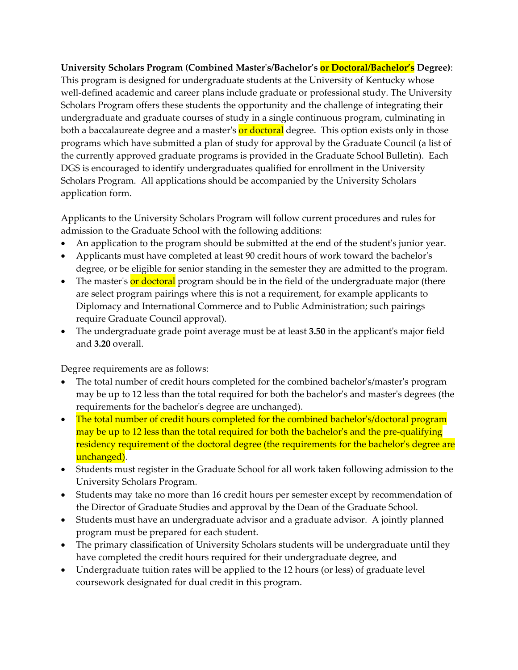## **University Scholars Program (Combined Masterʹs/Bachelor's or Doctoral/Bachelor's Degree)**:

This program is designed for undergraduate students at the University of Kentucky whose well-defined academic and career plans include graduate or professional study. The University Scholars Program offers these students the opportunity and the challenge of integrating their undergraduate and graduate courses of study in a single continuous program, culminating in both a baccalaureate degree and a master's or doctoral degree. This option exists only in those programs which have submitted a plan of study for approval by the Graduate Council (a list of the currently approved graduate programs is provided in the Graduate School Bulletin). Each DGS is encouraged to identify undergraduates qualified for enrollment in the University Scholars Program. All applications should be accompanied by the University Scholars application form.

Applicants to the University Scholars Program will follow current procedures and rules for admission to the Graduate School with the following additions:

- An application to the program should be submitted at the end of the student's junior year.
- Applicants must have completed at least 90 credit hours of work toward the bachelor's degree, or be eligible for senior standing in the semester they are admitted to the program.
- The master's or doctoral program should be in the field of the undergraduate major (there are select program pairings where this is not a requirement, for example applicants to Diplomacy and International Commerce and to Public Administration; such pairings require Graduate Council approval).
- The undergraduate grade point average must be at least **3.50** in the applicantʹs major field and **3.20** overall.

Degree requirements are as follows:

- The total number of credit hours completed for the combined bachelor's/master's program may be up to 12 less than the total required for both the bachelor's and master's degrees (the requirements for the bachelor's degree are unchanged).
- The total number of credit hours completed for the combined bachelor's/doctoral program may be up to 12 less than the total required for both the bachelor's and the pre-qualifying residency requirement of the doctoral degree (the requirements for the bachelor's degree are unchanged).
- Students must register in the Graduate School for all work taken following admission to the University Scholars Program.
- Students may take no more than 16 credit hours per semester except by recommendation of the Director of Graduate Studies and approval by the Dean of the Graduate School.
- Students must have an undergraduate advisor and a graduate advisor. A jointly planned program must be prepared for each student.
- The primary classification of University Scholars students will be undergraduate until they have completed the credit hours required for their undergraduate degree, and
- Undergraduate tuition rates will be applied to the 12 hours (or less) of graduate level coursework designated for dual credit in this program.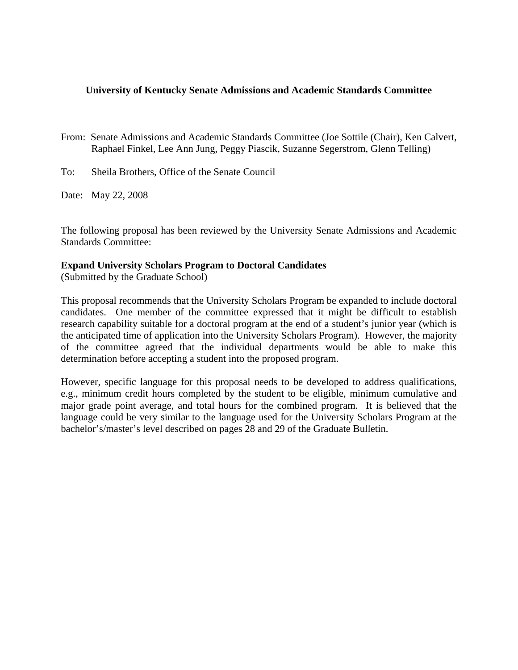## **University of Kentucky Senate Admissions and Academic Standards Committee**

From: Senate Admissions and Academic Standards Committee (Joe Sottile (Chair), Ken Calvert, Raphael Finkel, Lee Ann Jung, Peggy Piascik, Suzanne Segerstrom, Glenn Telling)

To: Sheila Brothers, Office of the Senate Council

Date: May 22, 2008

The following proposal has been reviewed by the University Senate Admissions and Academic Standards Committee:

## **Expand University Scholars Program to Doctoral Candidates**

(Submitted by the Graduate School)

This proposal recommends that the University Scholars Program be expanded to include doctoral candidates. One member of the committee expressed that it might be difficult to establish research capability suitable for a doctoral program at the end of a student's junior year (which is the anticipated time of application into the University Scholars Program). However, the majority of the committee agreed that the individual departments would be able to make this determination before accepting a student into the proposed program.

However, specific language for this proposal needs to be developed to address qualifications, e.g., minimum credit hours completed by the student to be eligible, minimum cumulative and major grade point average, and total hours for the combined program. It is believed that the language could be very similar to the language used for the University Scholars Program at the bachelor's/master's level described on pages 28 and 29 of the Graduate Bulletin.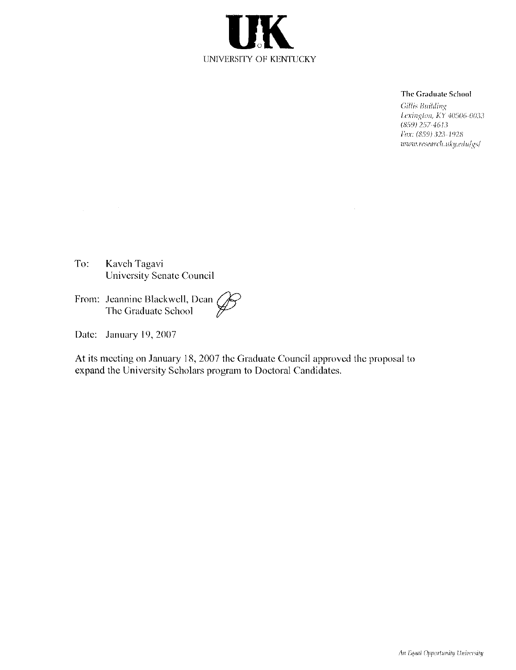

#### The Graduate School

Gillis Building Lexington, KY 40506-0033  $(859)$  257-4613 Fax: (859) 323-1928 www.research.uky.edu/gs/

Kaveh Tagavi To: University Senate Council

From: Jeannine Blackwell, Dean<br>The Graduate School

Date: January 19, 2007

 $\label{eq:2.1} \mathcal{L}(\mathcal{L}) = \mathcal{L}(\mathcal{L}) \mathcal{L}(\mathcal{L})$ 

 $\mathcal{L}_{\mathcal{A}}$ 

At its meeting on January 18, 2007 the Graduate Council approved the proposal to expand the University Scholars program to Doctoral Candidates.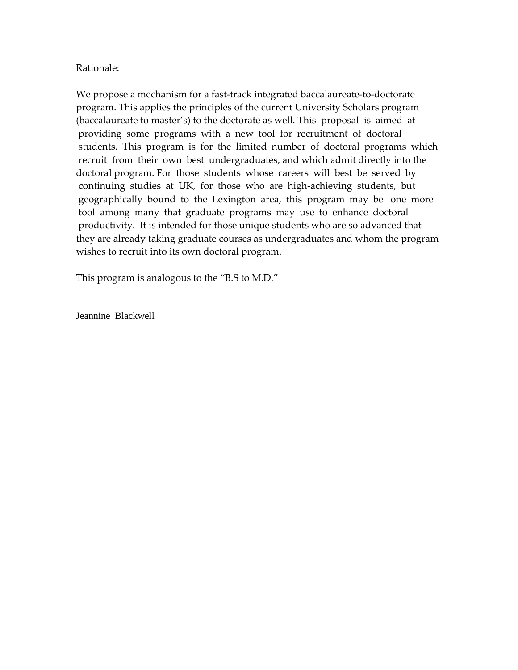## Rationale:

We propose a mechanism for a fast-track integrated baccalaureate-to-doctorate program. This applies the principles of the current University Scholars program (baccalaureate to master's) to the doctorate as well. This proposal is aimed at providing some programs with a new tool for recruitment of doctoral students. This program is for the limited number of doctoral programs which recruit from their own best undergraduates, and which admit directly into the doctoral program. For those students whose careers will best be served by continuing studies at UK, for those who are high‐achieving students, but geographically bound to the Lexington area, this program may be one more tool among many that graduate programs may use to enhance doctoral productivity. It is intended for those unique students who are so advanced that they are already taking graduate courses as undergraduates and whom the program wishes to recruit into its own doctoral program.

This program is analogous to the "B.S to M.D."

Jeannine Blackwell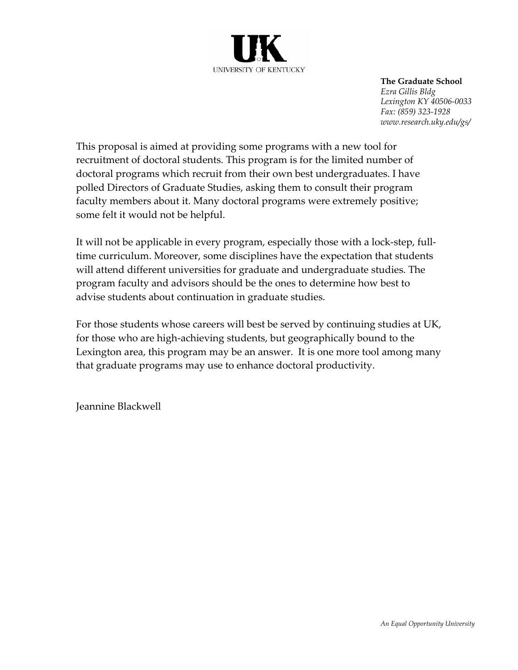

**The Graduate School** *Ezra Gillis Bldg Lexington KY 40506-0033 Fax: (859) 323-1928 www.research.uky.edu/gs/* 

This proposal is aimed at providing some programs with a new tool for recruitment of doctoral students. This program is for the limited number of doctoral programs which recruit from their own best undergraduates. I have polled Directors of Graduate Studies, asking them to consult their program faculty members about it. Many doctoral programs were extremely positive; some felt it would not be helpful.

It will not be applicable in every program, especially those with a lock‐step, full‐ time curriculum. Moreover, some disciplines have the expectation that students will attend different universities for graduate and undergraduate studies. The program faculty and advisors should be the ones to determine how best to advise students about continuation in graduate studies.

For those students whose careers will best be served by continuing studies at UK, for those who are high‐achieving students, but geographically bound to the Lexington area, this program may be an answer. It is one more tool among many that graduate programs may use to enhance doctoral productivity.

Jeannine Blackwell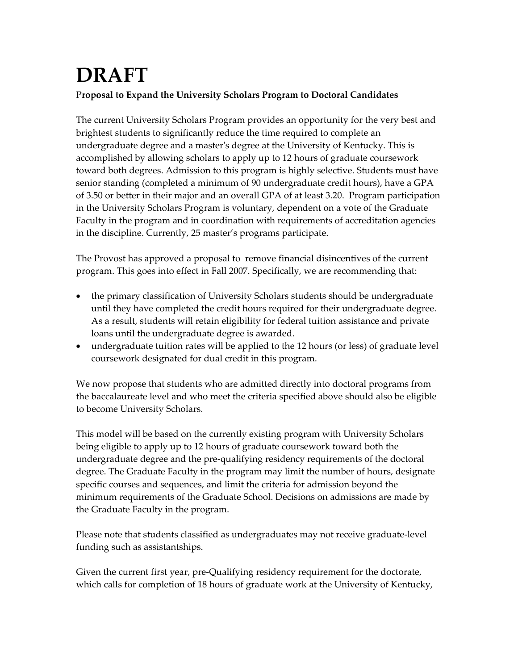# **DRAFT** P**roposal to Expand the University Scholars Program to Doctoral Candidates**

The current University Scholars Program provides an opportunity for the very best and brightest students to significantly reduce the time required to complete an undergraduate degree and a masterʹs degree at the University of Kentucky. This is accomplished by allowing scholars to apply up to 12 hours of graduate coursework toward both degrees. Admission to this program is highly selective. Students must have senior standing (completed a minimum of 90 undergraduate credit hours), have a GPA of 3.50 or better in their major and an overall GPA of at least 3.20. Program participation in the University Scholars Program is voluntary, dependent on a vote of the Graduate Faculty in the program and in coordination with requirements of accreditation agencies in the discipline. Currently, 25 master's programs participate.

The Provost has approved a proposal to remove financial disincentives of the current program. This goes into effect in Fall 2007. Specifically, we are recommending that:

- the primary classification of University Scholars students should be undergraduate until they have completed the credit hours required for their undergraduate degree. As a result, students will retain eligibility for federal tuition assistance and private loans until the undergraduate degree is awarded.
- undergraduate tuition rates will be applied to the 12 hours (or less) of graduate level coursework designated for dual credit in this program.

We now propose that students who are admitted directly into doctoral programs from the baccalaureate level and who meet the criteria specified above should also be eligible to become University Scholars.

This model will be based on the currently existing program with University Scholars being eligible to apply up to 12 hours of graduate coursework toward both the undergraduate degree and the pre‐qualifying residency requirements of the doctoral degree. The Graduate Faculty in the program may limit the number of hours, designate specific courses and sequences, and limit the criteria for admission beyond the minimum requirements of the Graduate School. Decisions on admissions are made by the Graduate Faculty in the program.

Please note that students classified as undergraduates may not receive graduate‐level funding such as assistantships.

Given the current first year, pre‐Qualifying residency requirement for the doctorate, which calls for completion of 18 hours of graduate work at the University of Kentucky,